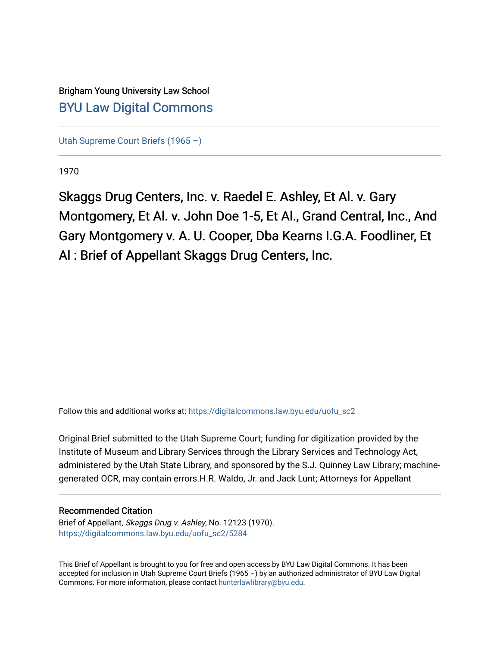# Brigham Young University Law School [BYU Law Digital Commons](https://digitalcommons.law.byu.edu/)

[Utah Supreme Court Briefs \(1965 –\)](https://digitalcommons.law.byu.edu/uofu_sc2)

1970

Skaggs Drug Centers, Inc. v. Raedel E. Ashley, Et Al. v. Gary Montgomery, Et Al. v. John Doe 1-5, Et Al., Grand Central, Inc., And Gary Montgomery v. A. U. Cooper, Dba Kearns I.G.A. Foodliner, Et Al : Brief of Appellant Skaggs Drug Centers, Inc.

Follow this and additional works at: [https://digitalcommons.law.byu.edu/uofu\\_sc2](https://digitalcommons.law.byu.edu/uofu_sc2?utm_source=digitalcommons.law.byu.edu%2Fuofu_sc2%2F5284&utm_medium=PDF&utm_campaign=PDFCoverPages)

Original Brief submitted to the Utah Supreme Court; funding for digitization provided by the Institute of Museum and Library Services through the Library Services and Technology Act, administered by the Utah State Library, and sponsored by the S.J. Quinney Law Library; machinegenerated OCR, may contain errors.H.R. Waldo, Jr. and Jack Lunt; Attorneys for Appellant

# Recommended Citation

Brief of Appellant, Skaggs Drug v. Ashley, No. 12123 (1970). [https://digitalcommons.law.byu.edu/uofu\\_sc2/5284](https://digitalcommons.law.byu.edu/uofu_sc2/5284?utm_source=digitalcommons.law.byu.edu%2Fuofu_sc2%2F5284&utm_medium=PDF&utm_campaign=PDFCoverPages) 

This Brief of Appellant is brought to you for free and open access by BYU Law Digital Commons. It has been accepted for inclusion in Utah Supreme Court Briefs (1965 –) by an authorized administrator of BYU Law Digital Commons. For more information, please contact [hunterlawlibrary@byu.edu](mailto:hunterlawlibrary@byu.edu).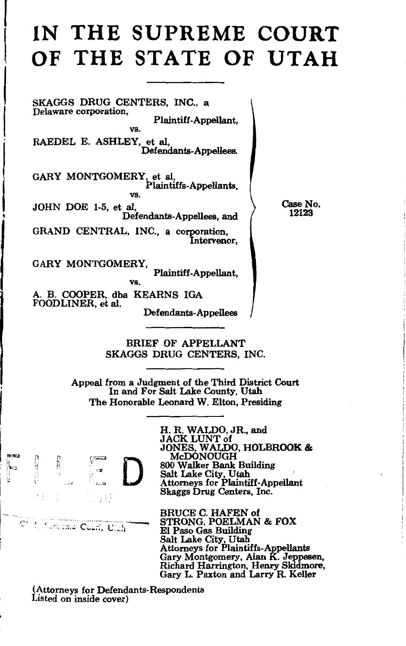# **IN THE SUPREME COURT OF THE STATE OF UTAH**

SKAGGS DRUG CENTERS, INC., a Delaware corporation, Plaintiff-Appellant, vs. RAEDEL E. ASHLEY, et al, Defendants-Appellees.

GARY MONTGOMERY, et al, Plaintiffs-Appellants, vs.

JOHN DOE 1-5, et al, Defendants-Appellees, and

GRAND CENTRAL, INC., a corporation, Intervenor,

GARY MONTGOMERY,

Plaintiff-Appellant,

vs. A. B. COOPER, dba KEARNS IGA FOODLINER, et al, Defendants-Appellees

> BRIEF OF APPELLANT SKAGGS DRUG CENTERS, INC.

Appeal from a Judgment of the Third District Court In and For Salt Lake County, Utah The Honorable Leonard W. Elton, Presiding



C' il Sapreme Court, Ulth

i

H. R. WALDO, JR., and JACK LUNT of JONES, WALDO, HOLBROOK & McDONOUGH 800 Walker Bank Building<br>Salt Lake City, Utah Attorneys for Plaintiff-Appellant Skaggs Drug Centers, Inc.

BRUCE C. HAFEN of STRONG, POELMAN & FOX El Paso Gas Building Salt Lake City, Utah Attorneys for Plaintiffs-Appellants<br>Gary Montgomery, Alan K. Jeppesen,<br>Richard Harrington, Henry Skidmore, Gary L. Paxton and Larry R. Keller

(Attorneys for Defendants-Respondents Listed on inside cover)

Case No. 12123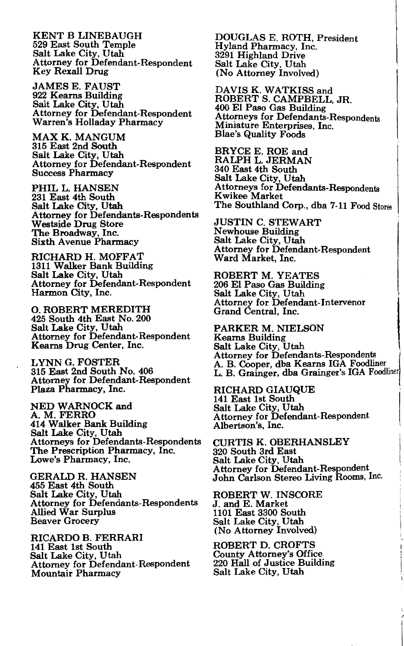KENT B LINEBAUGH 529 East South Temple Salt Lake City, Utah Attorney for Defendant-Respondent Key Rexall Drug

JAMES E. FAUST 922 Kearns Building Salt Lake City, Utah Attorney for Defendant-Respondent Warren's Holladay Pharmacy

MAX K. MANGUM 315 East 2nd South Salt Lake City, Utah Attorney for Defendant-Respondent Success Pharmacy

PHIL L. HANSEN 231 East 4th South Salt Lake City, Utah Attorney for Defendants-Respondents Westside Drug Store The Broadway, Inc. Sixth Avenue Pharmacy

RICHARD H. MOFFAT<br>1311 Walker Bank Building Salt Lake City, Utah Attorney for Defendant-Respondent Harmon City, Inc.

0. ROBERT MEREDITH 425 South 4th East No. 200 Salt Lake City, Utah Attorney for Defendant-Respondent Kearns Drug Center, Inc.

LYNN G. FOSTER 315 East 2nd South No. 406 Attorney for Defendant-Respondent Plaza Pharmacy, Inc.

NED WARNOCK and A.M.FERRO 414 Walker Bank Building Salt Lake City, Utah Attorneys for Defendants-Respondents The Prescription Pharmacy, Inc. Lowe's Pharmacy, Inc.

GERALD R. HANSEN 455 East 4th South Salt Lake City, Utah Attorney for Defendants-Respondents Allied War Surplus Beaver Grocery

RICARDO B. FERRARI 141 East 1st South Salt Lake City, Utah Attorney for Defendant-Respondent Mountair Pharmacy

DOUGLAS E. ROTH, President Hyland Pharmacy, Inc. 3291 Highland Drive Salt Lake City, Utah (No Attorney Involved)

DAVIS K. WATKISS and ROBERT S. CAMPBELL, JR. 400 El Paso Gas Building Attorneys for Miniature Enterprises, Inc. Blae's Quality Foods

BRYCE E. ROE and RALPH L. JERMAN 340 East 4th South Salt Lake City, Utah Attorneys for K wikee Market The Southland Corp., dba 7-11 Food Stores

JUSTIN C. STEWART<br>Newhouse Building Salt Lake City, Utah Attorney for Defendant-Respondent Ward Market, Inc.

ROBERT M. YEATES<br>206 El Paso Gas Building Salt Lake City, Utah Attorney for Defendant-Intervenor Grand Central, Inc.

PARKER M. NIELSON Kearns Building<br>Salt Lake City, Utah Attorney for Defendants-Respondents L. B. Grainger, dba Grainger's IGA Foodliner 1 A. B. Cooper, dba Kearns IGA Foodliner.

I

RICHARD GIAUQUE 141 East 1st South Salt Lake City, Utah Attorney for Defendant-Respondent Albertson's, Inc.

CURTIS K. OBERHANSLEY 320 South 3rd East Salt Lake City, Utah Attorney for Defendant-Respondent John Carlson Stereo Living Rooms, Inc.

ROBERT W. INSCORE J. and E. Market 1101 East 3300 South Salt Lake City, Utah (No Attorney Involved)

ROBERT D. CROFTS County Attorney's Office 220 Hall of Justice Building Salt Lake City, Utah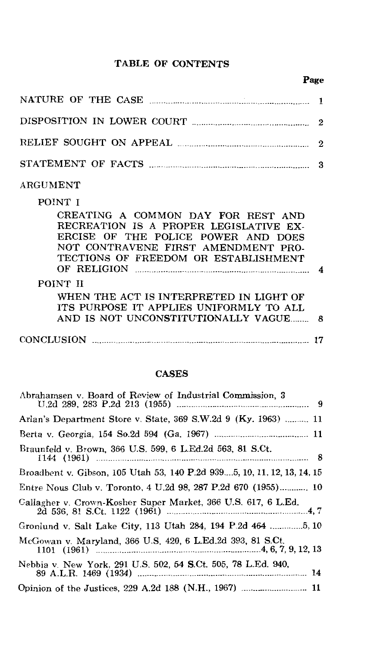#### TABLE OF CONTENTS

# Page

| NATURE OF THE CASE <b>MATURE OF THE CASE</b> |  |
|----------------------------------------------|--|
|                                              |  |
|                                              |  |
|                                              |  |

# ARGUMENT

## POINT I

| CREATING A COMMON DAY FOR REST AND<br>RECREATION IS A PROPER LEGISLATIVE EX- |  |
|------------------------------------------------------------------------------|--|
| ERCISE OF THE POLICE POWER AND DOES                                          |  |
| NOT CONTRAVENE FIRST AMENDMENT PRO-<br>TECTIONS OF FREEDOM OR ESTABLISHMENT  |  |
| OF RELIGION                                                                  |  |
| POINT II                                                                     |  |
| WHEN THE ACT IS INTERPRETED IN LIGHT OF                                      |  |
| ITS PURPOSE IT APPLIES UNIFORMLY TO ALL                                      |  |
|                                                                              |  |
| CONCLUSION                                                                   |  |

#### CASES

| Abrahamsen v. Board of Review of Industrial Commission, 3               |
|-------------------------------------------------------------------------|
| Arlan's Department Store v. State, 369 S.W.2d 9 (Ky. 1963)  11          |
|                                                                         |
| Braunfeld v. Brown, 366 U.S. 599, 6 L.Ed.2d 563, 81 S.Ct.               |
| Broadbent v. Gibson, 105 Utah 53, 140 P.2d 9395, 10, 11, 12, 13, 14, 15 |
| Entre Nous Club v. Toronto, 4 U.2d 98, 287 P.2d 670 (1955) 10           |
| Callagher v. Crown-Kosher Super Market, 366 U.S. 617, 6 L.Ed.           |
| Gronlund v. Salt Lake City, 113 Utah 284, 194 P.2d 464 5, 10            |
| McGowan v. Maryland, 366 U.S. 420, 6 L.Ed.2d 393, 81 S.Ct.              |
| Nebbia v. New York, 291 U.S. 502, 54 S.Ct. 505, 78 L.Ed. 940,           |
|                                                                         |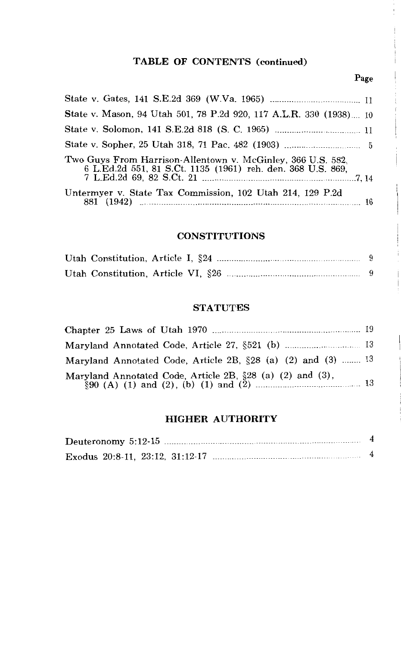# **TABLE OF CONTENTS (continued)**

#### Page

| State v. Mason, 94 Utah 501, 78 P.2d 920, 117 A.L.R. 330 (1938) 10                                                         |  |
|----------------------------------------------------------------------------------------------------------------------------|--|
|                                                                                                                            |  |
|                                                                                                                            |  |
| Two Guys From Harrison-Allentown v. McGinley, 366 U.S. 582.<br>6 L.Ed.2d 551, 81 S.Ct. 1135 (1961) reh. den. 368 U.S. 869, |  |
| Untermyer v. State Tax Commission, 102 Utah 214, 129 P.2d                                                                  |  |

#### **CONSTITUTIONS**

#### **STATUTES**

| Maryland Annotated Code, Article 2B, $\S 28$ (a) (2) and (3)  13 |  |
|------------------------------------------------------------------|--|
| Maryland Annotated Code, Article 2B, §28 (a) (2) and (3),        |  |

#### **HIGHER AUTHORITY**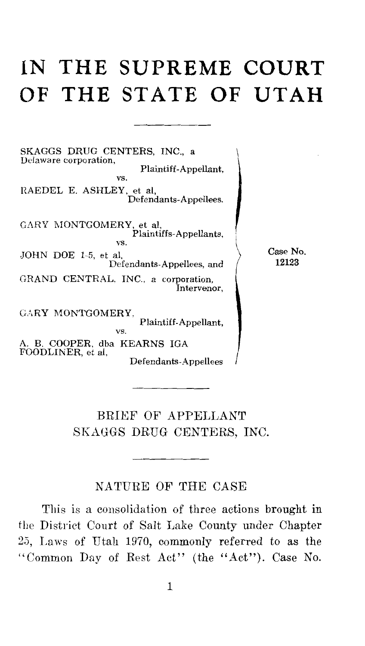# **IN THE SUPREME COURT OF THE STATE OF UTAH**

SKAGGS DRUG CENTERS, INC., a Delaware corporation, Plaintiff-Appellant, vs. RAEDEL E. ASHLEY, et al, Defendants-A ppellees. GARY MONTGOMERY, et al, Plaintiffs-Appellants, JOHN DOE 1-5, et al, Defendants-Appellees, and GRAND CENTRAL, INC., a corporation, Intervenor, GARY MONTGOMERY,  $\sum_{\text{vs}}$  Plaintiff-Appellant, A. B. COOPER, dba KEARNS IGA FOODLINER, et al,

Defendants-Appellees

Case No. 12123

BRIEF OF APPELLANT SKAGGS DRUG CENTERS, INC.

#### NATURE OF THE CASE

This is a consolidation of three actions brought in the District Court of Salt Lake County under Chapter 23, Laws of Utah 1970, commonly referred to as the "Common Day of Rest Act" (the "Act"). Case No.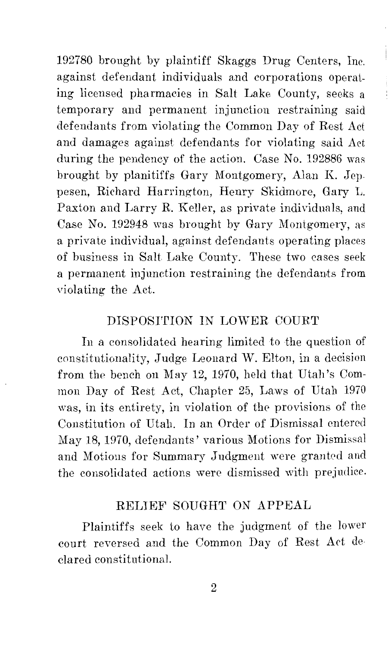192780 brought by plaintiff Skaggs Drug Centers, Inc. against defendant individuals and corporations operating licensed pharmacies in Salt Lake County, seeks a temporary and permanent injunction restraining said defendants from violating the Common Day of Rest Act and damages against defendants for violating said Act during the pendency of the action. Case No. 192886 was brought by planitiffs Gary Montgomery, Alan K. Jeppesen, Richard Harrington, Henry Skidmore, Gary L. Paxton and Larry R. Keller, as private individuals, and Case No. 192948 was brought by Gary Montgomery, as a private individual, against defendants operating places of business in Salt Lake County. These two cases seek a permanent injunction restraining the defendants from violating the Act.

į

# DISPOSI'rION IN LOWER COURT

In a consolidated hearing limited to the question of constitutionality, Judge Leonard W. Elton, in a decision from the bench on May 12, 1970, held that Utah's Common Day of Rest Act, Chapter 25, Laws of Utah 1970 was, in its entirety, in violation of the provisions of the Constitution of Utah. In an Order of Dismissal entered May 18, 1970, defendants' various Motions for Dismissal and Motions for Summary Judgment were granted and the consolidated actions were dismissed with prejudice.

#### RELIEF' SOUGHT ON APPEAL

Plaintiffs seek to have the judgment of the lower court reversed and the Common Day of Rest Act de· clared constitutional.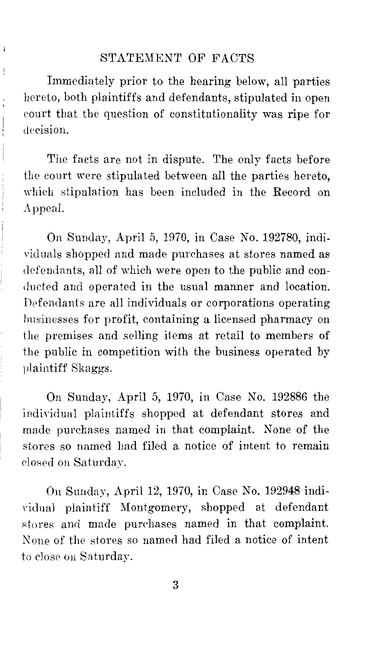#### STATEMENT OF FACTS

 $\,$ 

 $-1$  ...  $-1$  ...

Immediately prior to the hearing below, all parties hereto, both plaintiffs and defendants, stipulated in open court that the question of constitutionality was ripe for decision.

The facts are not in dispute. The only facts before the court were stipulated between all the parties hereto, which stipulation has been included in the Record on Appeal.

On Sunday, April 5, 1970, in Case No. 192780, indi- \'icluals shopped and made purchases at stores named as defendants, all of which were open to the public and conducted and operated in the usual manner and location. Defendants are all individuals or corporations operating businesses for profit, containing a licensed pharmacy on the premises and selling items at retail to members of the public in competition with the business operated by plaintiff Skaggs.

On Sunday, April 5, 1970, in Case No. 192886 the individual plaintiffs shopped at defendant stores and made purchases named in that complaint. None of the stores so named had filed a notice of intent to remain closed on Saturday.

On Sunday, April 12, 1970, in Case No. 192948 individual plaintiff Montgomery, shopped at defendant stores and made purchases named in that complaint. None of the stores so named had filed a notice of intent to close on Saturday.

3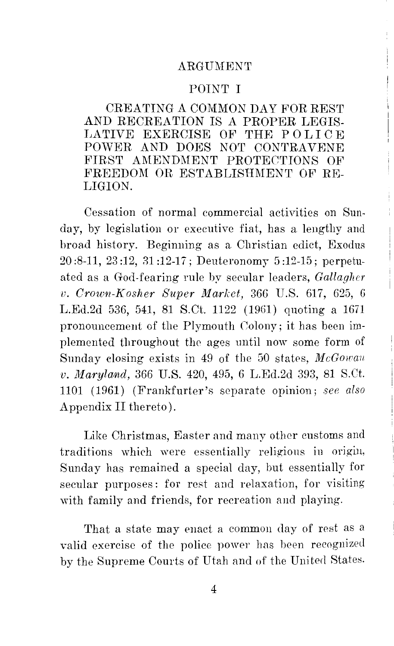#### ARGUMENT

#### POINT I

CREATING A COMMON DAY FOR REST AND RECREATION IS A PROPER LEGIS-LATIVE EXERCISE OF THE POLICE POWER AND DOES NOT CONTRAVENE FIRST AMENDMENT PROTECTIONS OF FREEDOM OR ESTABLISHMENT OF RE-LIGION.

Cessation of normal commercial activities on Sunday, by legislation or executive fiat, has a lengthy and broad history. Beginning as a Christian edict, Exodus  $20:8-11, 23:12, 31:12-17$ ; Deuteronomy  $5:12-15$ ; perpetuated as a God-fearing rule by secular leaders, *Gallagher v. Crown-Kosher Super Market, 366 U.S. 617, 625, 6* L.Ed.2d 536, 541, 81 S.Ct. 1122 (1961) quoting a 1671 pronouncement of the Plymouth Colony; it has been implemented throughout the ages until now some form of Sunday closing exists in 49 of the 50 states, McGowan *v. 111arylarnd,* 366 U.S. 420, 495, 6 L.Ed.2d 393, 81 S.Ct. 1101 (1961) (Frankfurter's separate opinion; *see also*  Appendix II thereto).

Like Christmas, Easter and many other customs and traditions which were essentially religious in origin, Sunday has remained a special day, but essentially for secular purposes: for rest and relaxation, for visiting with family and friends, for recreation and playing.

That a state may enact a common day of rest as a valid exercise of the police power has been recognized by the Supreme Courts of Utah and of the United States.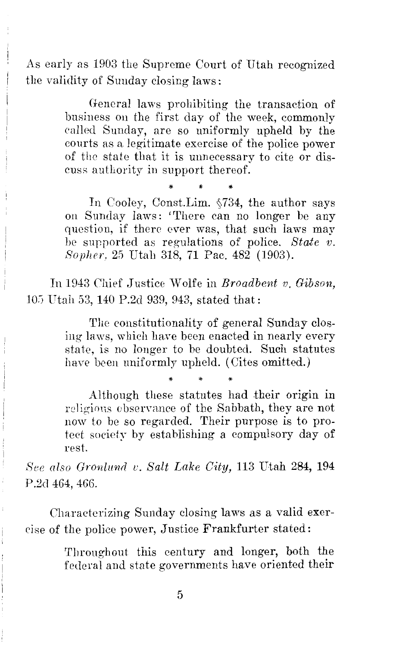As early as 1903 the Supreme Court of Utah recognized the validity of Sunday closing laws:

> General laws prohibiting the transaction of business on the first day of the week, commonly called Sunday, are so uniformly upheld by the courts as a legitimate exercise of the police power of the state that it is unnecessary to cite or discuss authority in support thereof.

> \* \* \* In Cooley, Const.Lim.  $§734$ , the author says on Sunday laws: 'There can no longer be any question, if there ever was, that such laws may be supported as regulations of police. *State v. Sopher,* 25 Utah 318, 71 Pac. 482 (1903).

In 1943 Chief Justice Wolfe in *Broadbent v. Gibson*, 105 Utah 53, 140 P.2d 939, 943, stated that:

> The constitutionality of general Sunday closing laws, which have been enacted in nearly every state, is no longer to be doubted. Such statutes have been uniformly upheld. (Cites omitted.)

> \* \* \* Although these statutes had their origin in religious observance of the Sabbath, they are not now to be so regarded. Their purpose is to protect society by establishing a compulsory day of rest.

*F·iee also Gronlund v. Salt Lake City,* 113 Utah 284, **194**  P.2d 464, 466.

Characterizing Sunday closing laws as a valid exercise of the police power, Justice Frankfurter stated:

> Throughout this century and longer, both the federal and state governments have oriented their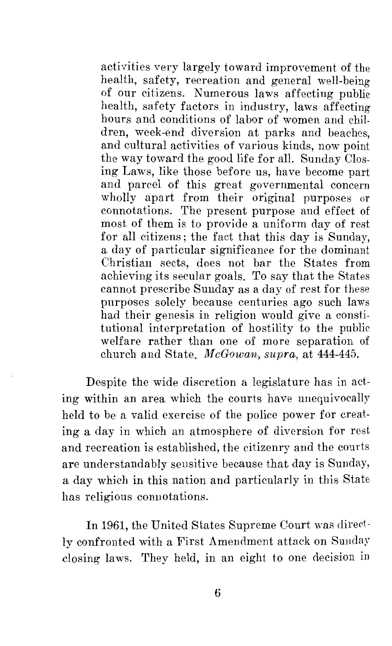activities very largely toward improvement of the health, safety, recreation and general well-being of our citizens. Numerous laws affecting public health, safety factors in industry, laws affecting hours and conditions of labor of women and children, week-end diversion at parks and beaches, and cultural activities of various kinds, now point the way toward the good life for all. Sunday Closing Laws, like those before us, have become part and parcel of this great governmental concern wholly apart from their original purposes or connotations. The present purpose and effect of most of them is to provide a uniform day of rest for all citizens; the fact that this day is Sunday, a day of particular significance for the dominant Christian sects, does not bar the States from achieving its secular goals. To say that the States cannot prescribe Sunday as a day of rest for these purposes solely because centuries ago such laws had their genesis in religion would give a constitutional interpretation of hostility to the public welfare rather than one of more separation of church and State. *McGowan, supra,* at 444-445.

Despite the wide discretion a legislature has in acting within an area which the courts have unequivocally held to be a valid exercise of the police power for creating a day in which an atmosphere of diversion for rest and recreation is established, the citizenry and the courts are understandably sensitive because that day is Sunday, a day which in this nation and particularly in this State has religious connotations.

In 1961, the United States Supreme Court was directly confronted with a First Amendment attack on Sunday closing laws. They held, in an eight to one decision in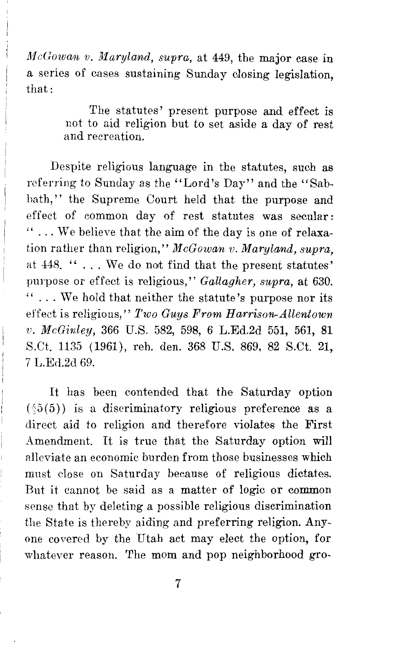*McGowan v. Maryland, supra, at 449, the major case in* a series of cases sustaining Sunday closing legislation, that:

> The statutes' present purpose and effect is not to aid religion but to set aside a day of rest and recreation.

Despite religious language in the statutes, such as referring to Sunday as the "Lord's Day" and the "Sabbath,'' the Supreme Court held that the purpose and effect of common day of rest statutes was secular: " ... We believe that the aim of the day is one of relaxation rather than religion," *McGowan v. Maryland, supra,*  at 448. " . . . We do not find that the present statutes' purpose or effect is religious,'' *Gallagher, supra,* at 630.  $\cdots$ . We hold that neither the statute's purpose nor its effect is religious," *Two Guys From Harrison-Allentown v. McGinley,* 366 U.S. 582, 598, 6 L.Ed.2d 551, 561, 81 S.Ct. 1135 (1961), reh. den. 368 U.S. 869, 82 S.Ct. 21, 7 L.Ecl.2d 69.

It has been contended that the Saturday option  $(\sqrt{5(5)})$  is a discriminatory religious preference as a direct aid to religion and therefore violates the First Amendment. It is true that the Saturday option will alleviate an economic burden from those businesses which must close on Saturday because of religious dictates. But it cannot be said as a matter of logic or common sense that by deleting a possible religious discrimination the State is thereby aiding and preferring religion. Anyone covered by the Utah act may elect the option, for whatever reason. The mom and pop neighborhood gro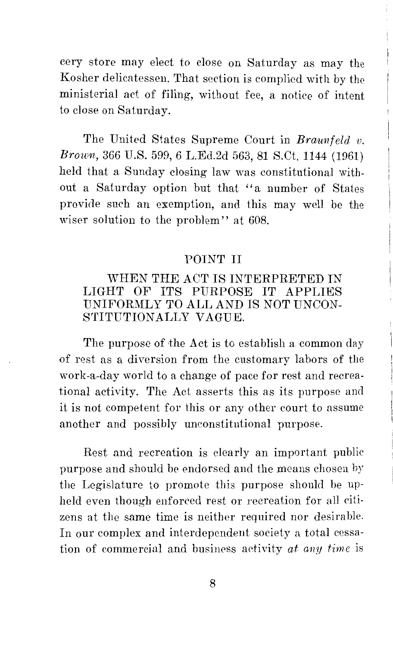cery store may elect to close on Saturday as may the Kosher delicatessen. That section is complied with by *the*  ministerial act of filing, without fee, a notice of intent to close on Saturday.

The United States Supreme Court in *Braunfeld v. Brown,* 366 U.S. 599, 6 L.Ed.2d 563, 81 S.Ct. 1144 (1961) held that a Sunday closing law was constitutional without a Saturday option but that ''a number of States provide such an exemption, and this may well be the wiser solution to the problem" at 608.

#### POINT II

# WHEN THE ACT IS INTERPRETED IN LIGHT OF ITS PURPOSE IT APPLIES UNIFORMLY TO ALL AND IS NOT UNCONsrrITUTIONALLY VAGUE.

The purpose of the Act is to establish a common day of rest as a diversion from the customary labors of the work-a-day world to a change of pace for rest and recreational activity. The Act asserts this as its purpose and it is not competent for this or any other court to assume another and possibly unconstitutional purpose.

Rest and recreation is clearly an important public purpose and should be endorsed and the means chosen by the Legislature to promote this purpose should be upheld even though enforced rest or recreation for all citizens at the same time is neither required nor desirable. In our complex and interdependent society a total cessation of commercial and business activity *at any time* is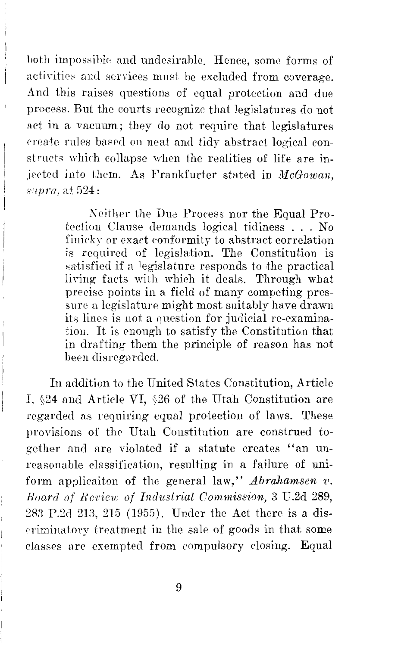hoth impossihk and undesirable. Hence, some forms of activities and services must be excluded from coverage. Arnl this raises questions of equal protection and due process. But the courts recognize that legislatures do not act in a vacuum; they do not require that legislatures ereate rules based on neat and tidy abstract logical constrnets which collapse when the realities of life are injected into them. As Frankfurter stated in *McGowan, supra,* at 524:

> Neither the Due Process nor the Equal Protection Clause demands logical tidiness ... No finicky or exact conformity to abstract correlation is required of legislation. The Constitution is satisfied if a legislature responds to the practical living facts with which it deals. Through what precise points in a field of many competing pressure a legislature might most suitably have drawn its lines is not a question for judicial re-examination. It is enough to satisfy the Constitution that in drafting them the principle of reason has not been disregarded.

In addition to the United States Constitution, Article I, §24 and Article VI, §26 of the Utah Constitution are regarded as requiring equal protection of laws. These provisions of the Utah Constitution are construed *to*gether and are violated if a statute creates "an unreasonable classification, resulting in a failure of uniform applicaiton of the general law," *Abrahamsen v. Hoard of Reriew of Industrial Commission,* 3 U.2d 289, 283 P.2d 213, 215 (1955). Under the Act there is a dis-('rimina tory treatment in the sale of goods in that some classes are exempted from compulsory closing. Equal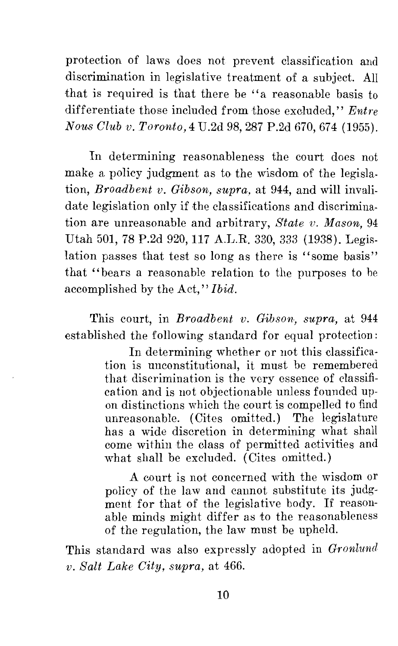protection of laws does not prevent classification and discrimination in legislative treatment of a subject. All that is required is that there be "a reasonable basis to differentiate those included from those excluded," *Entre Nou.s Club v. Toronfo,4* U.2d 98, 287 P.2d 670, 674 (1955).

In determining reasonableness the court does not make a policy judgment as to the wisdom of the legislation, *Broadbent v. Gibson, supra,* at 944, and will invalidate legislation only if the classifications and discrimination are unreasonable and arbitrary, *State v. Mason,* 94 Utah 501, 78 P.2d 920, 117 A.L.R. 330, 333 (1938). Legislation passes that test so long as there is ''some basis'' that "bears a reasonable relation to the purposes to he accomplished by the Act,'' *Ibid.* 

This court, in *Broadbent v. Gibson*, *supra*, at 944 established the following standard for equal protection:

> In determining whether or not this classification is unconstitutional, it must be remembered that discrimination is the very essence of classification and is not objectionable unless founded upon distinctions which the court is compelled to find unreasonable. (Cites omitted.) The legislature has a wide discretion in determining what shall come within the class of permitted activities and what shall be excluded. (Cites omitted.)

> A court is not concerned with the wisdom or policy of the law and cannot substitute its judgment for that of the legislative body. If reasonable minds might differ as to the reasonableness of the regulation, the law must be upheld.

This standard was also expressly adopted in *Gronlund v. Salt Lake City, supra,* at 466.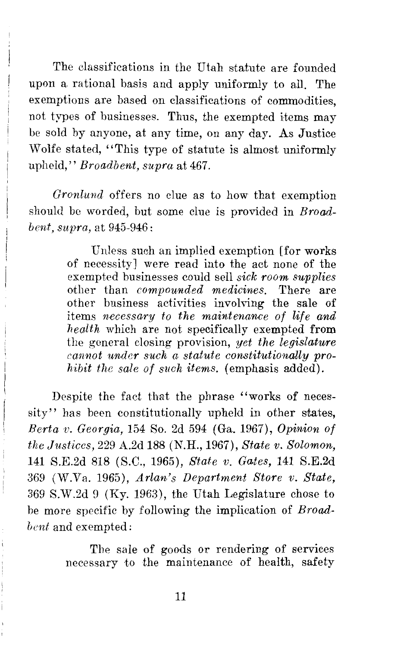The classifications in the Utah statute are founded upon a rational basis and apply uniformly to all. The exemptions are based on classifications of commodities, not types of businesses. Thus, the exempted items may be sold by anyone, at any time, on any day. As Justice Wolfe sfated, "This type of statute is almost uniformly upheld," *Broadbent, supra* at 467.

*Gronlund* offers no clue as to how that exemption should be worded, but some clue is provided in *Broadbent, supra,* at 945-946:

> Unless such an implied exemption [for works of necessity] were read into the act none of the exempted businesses could sell *sick room supplies*  other than *compounded medicines.* There are other business activities involving the sale of items *necessary to the maintenance of life and health* which are not specifically exempted from the general closing provision, *yet the legislature cannot under such a statute constitutionally prohibit the sale of such items.* (emphasis added).

Despite the fact that the phrase "works of necessity" has been constitutionally upheld in other states, *Berta v. Georgia,* 154 So. 2d 594 (Ga. 1967), *Opinion of the Justices,* 229 A.2d 188 (N.H., 1967), *State v. Solomon,*  141 S.E.2d 818 (S.C., 1965), *State v. Gates,* **141** S.E.2d 369 (W.Va. 1965), *Arlan·'s Department Store v. State,*  369 S.W.2d 9 (Ky. 1963), the Utah Legislature chose to be more specific by following the implication of *Broadbent* and exempted:

> The sale of goods or rendering of services necessary to the maintenance of health, safety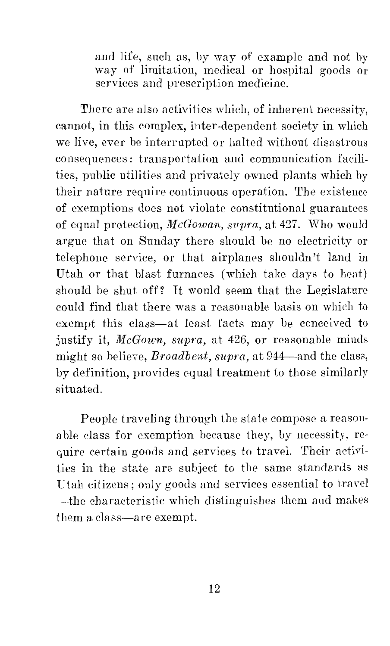and life, such as, by way of example and not by way of limitation, medical or hospital goods or services and prescription medicine.

There are also activities which, of inherent necessity, cannot, in this complex, inter-dependent society in which we live, ever he interrupted or halted without disastrous consequences: transportation and communication facilities, public utilities and privately owned plants which by their nature require continuous operation. The existence of exemptions does not violate constitutional guarantees of equal protection, *McGowan, supra,* at 427. \:Vho would argue that on Sunday there should he no electricity or telephone service, or that airplanes shouldn't land in Utah or that blast furnaces (which take days to heat) should be shut off? It would seem that the Legislature could find that there was a reasonable basis on which to exempt this class-at least facts may be conceived to justify it, *McGown, supra*, at 426, or reasonable minds might so believe, *Broadbent, supra,* at 944-and the class, by definition, provides equal treatment to those similarly situated.

People traveling through the state compose a reasonable class for exemption because they, by necessity, require certain goods and services to travel. Their activities in the state are subject to the same standards as Utah citizens; only goods and services essential to travel -the characteristic which distinguishes them and makes them a class-are exempt.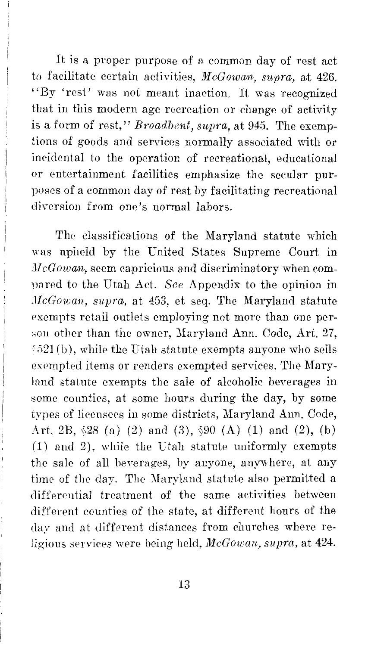It is a proper purpose of a common day of rest act to facilitate certain activities, *McGowarn, supra,* at 426. "By 'rest' was not meant inaction. It was recognized that in this modern age recreation or change of activity is a form of rest,'' *Broadbent, supra,* at 945. The exemptions of goods and services normally associated \vith or incidental to the operation of recreational, educational or entertainment facilities emphasize the secular purposes of a common day of rest by facilitating recreational diversion from one's normal labors.

The classifications of the Maryland statute which was upheld by the United States Supreme Court in *McGowan,* seem capricious and discriminatory when compared to the Utah Act. *See* Appendix to the opinion in *JlcGowan, supra.,* at 453, et seq. The Maryland statute exempts retail outlets employing not more than one per son other than the owner, Maryland Ann. Code, Art. 27,  $\&521(b)$ , while the Utah statute exempts anyone who sells exempted items or renders exempted services. The Maryland statute exempts the sale of alcoholic beverages in some counties, at some hours during the day, by some types of licensees in some districts, Maryland Ann. Code, Art. 2B,  $\&28$  (a) (2) and (3),  $\&90$  (A) (1) and (2), (b) (1) and 2), while the Utah statute uniformly exempts the sale of all beverages, by anyone, anywhere, at any time of the day. The Maryland statute also permitted a differential treatment of the same activities between different counties of the state, at different hours of the day and at different distances from churches where religious services were being held, *McGowan, supra,* at 424.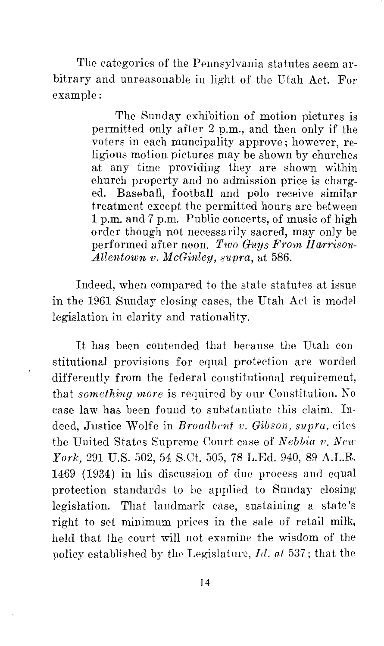The categories of the Pennsylvania statutes seem arbitrary and unreasonable in light of the Utah Act. For example:

> The Sunday exhibition of motion pictures is permitted only after 2 p.m., and then only if the voters in each muncipality approve; however, religious motion pictures may be shown by churches at any time providing they are shown within church property and no admission price is charged. Baseball, football and polo receive similar treatment except the permitted hours are between 1 p.m. and 7 p.m. Public concerts, of music of high order though not necessarily sacred, may only be performed after noon. *Two Guys From Harrison-Allentown v. McGinley, supra,* at 586.

Indeed, when compared to the state statutes at issue in the 1961 Sunday closing cases, the Utah *Act* is model legislation in clarity and rationality.

It has been contended that because the Utah constitutional provisions for equal protection are worded differently from the federal constitutional requirement, that *something niore* is required by our Constitution. No case law has been found to substantiate this claim. Indeed, Justice Wolfe in *Broadbent v. Gibson, supra,* cites the United States Supreme Court case of *Nebbia v. New York,* 291 U.S. 502, 54 S.Ct. 505, 78 L.Ed. 940, 89 A.L.R. 1469 (1934) in his discussion of due process and equal protection standards to be applied to Sunday closing legislation. That landmark case, sustaining a state's right to set minimum prices in the sale of retail milk, held that the court will not examine the wisdom of the policy established by tlw Legislature, *Id. at* 537; that the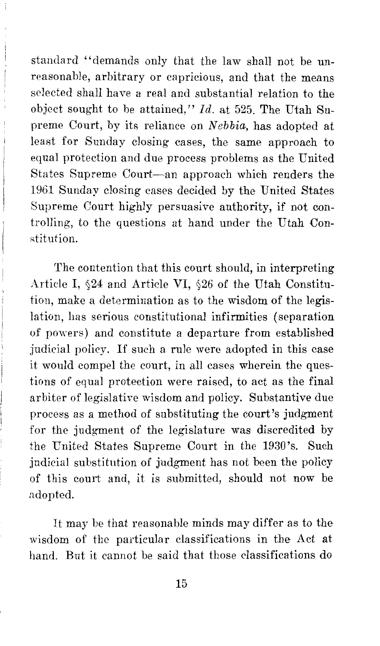standard ''demands only that the law shall not be unreasonable, arbitrary or capricious, and that the means selected shall have a real and substantial relation to the object sought to be attained," *Id.* at 525. The Utah Supreme Court, by its reliance on *Nebbia*, has adopted at least for Sunday closing cases, the same approach to equal protection and due process problems as the United States Supreme Court-an approach which renders the 1961 Sunday closing cases decided by the United States Supreme Court highly persuasive authority, if not controlling, to the questions at hand under the Utah Constitution.

The contention that this court should, in interpreting Article I,  $\&$ 24 and Article VI,  $\&$ 26 of the Utah Constitution, make a determination as to the wisdom of the legislation, has serious constitutional infirmities (separation of powers) and constitute a departure from established judicial policy. If such a rule were adopted in this case it would compel the court, in all cases wherein the questions of equal protection were raised, to act as the final arbiter of legislative wisdom and policy. Substantive due process as a method of substituting the court's judgment for the judgment of the legislature was discredited by the United States Supreme Court in the 1930's. Such judicial substitution of judgment has not been the policy of this court and, it is submitted, should not now be adopted.

It may he that reasonable minds may differ as to the wisdom of the particular classifications in the Act at hand. But it cannot be said that those classifications do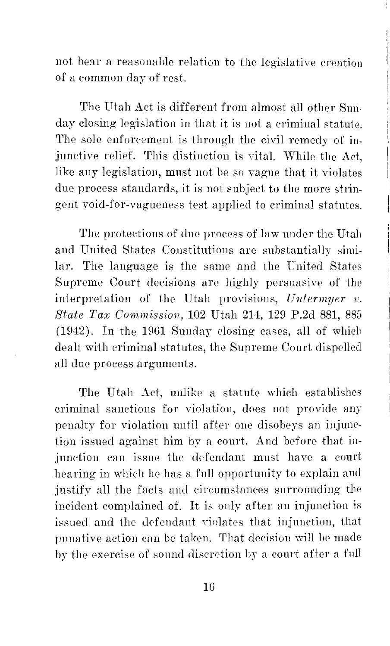not bear a reasonable relation to the legislative creation of a common day of rest.

The Utah Act is different from almost all other Sunday closing legislation in that it is not a criminal statute. The sole enforcement is through the civil remedy of injunctive relief. This distinction is vital. While the Act, like any legislation, must not be so vague that it violates due process standards, it is not subject to the more stringent void-for-vagueness test applied to criminal statutes.

The protections of due process of law under the Utah and United States Constitutions are substantially similar. The language is the same and the United States Supreme Court decisions are highly persuasive of the interpretation of the Utah provisions, *Untermyer v. State Tax Commission,* 102 Utah 214, 129 P.2d 881, 885 (1942). In the 1961 Sunday closing cases, all of which dealt with criminal statutes, the Supreme Court dispelled all due process arguments.

The Utah Act, unlike a statute which establishes criminal sanctions for violation, does not provide any penalty for violation until after one disobeys an injunction issued against him by a court. And before that injunction can issue the defendant must have a court hearing in which he has a full opportunity to explain and justify all the facts and circumstances surrounding the incident complained of. It is only after an injunction is issued and the defendant violates that injunction, that punative action can be taken. That decision will be made by the exercise of sound discretion by a court after a full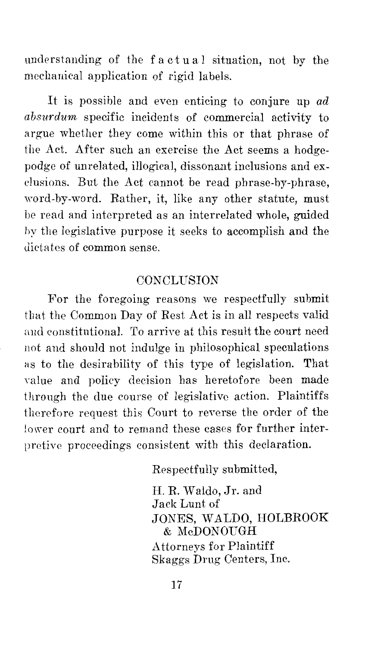understanding of the f a ct u a 1 situation, not by the mechanical application of rigid labels.

It is possible and even enticing to conjure up *ad absurdum* specific incidents of commercial activity to argue whether they come within this or that phrase of the Act. After such an exercise the Act seems a hodgepodge of unrelated, illogical, dissonant inclusions and exdusions. But the Act cannot be read phrase-by-phrase, ·word-by-word. Rather, it, like any other statute, must be read and interpreted as an interrelated whole, guided l)y the legislative purpose it seeks to accomplish and the dictates of common sense.

## **CONCLUSION**

For the foregoing reasons we respectfully submit that the Common Day of Rest Act is in all respects valid and constitutional. To arrive at this result the court need not and should not indulge in philosophical speculations as to the desirability of this type of legislation. That value and policy decision has heretofore been made through the due course of legislative action. Plaintiffs therefore request this Court to reverse the order of the lower court and to remand these cases for further interpretive proceedings consistent with this declaration.

Respectfully submitted,

H. R. Waldo, Jr. and Jack Lunt of JONES, WALDO, **HOLBROOK**  & McDONOUGH Attorneys for Plaintiff Skaggs Drug Centers, Inc.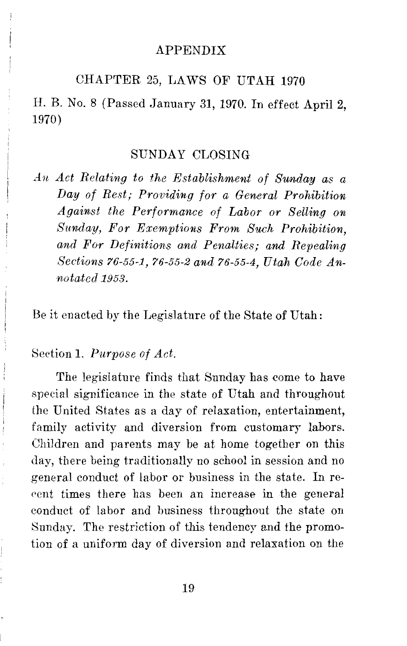#### APPENDIX

# CHAPTER 25, LAWS OF UTAH 1970

H. B. No. 8 (Passed January 31, 1970. In effect April 2, 1970)

#### SUNDAY CLOSING

*An Act Relating to the Establishment of Sunday as a Day of Rest; Providing for a General Prohibition Against the Performance of Labor or Selling on Sunday, For Exemptions From Such Prohibition, and For Definitions and Penalties; and Repealing Sections 76-55-1, 76-55-2 and 76-55-4, Utah Code Annotated 1953.* 

Be it enacted by the Legislature of the State of Utah:

Section 1. *Purpose of Act.* 

The legislature finds that Sunday has come to have special significance in the state of Utah and throughout the United States as a day of relaxation, entertainment, family activity and diversion from customary labors. Children and parents may be at home together on this day, there being traditionally no school in session and no general conduct of labor or business in the state. In rerent times there has been an increase in the general conduct of labor and business throughout the state on Sunday. The restriction of this tendency and the promotion of a uniform day of diversion and relaxation on the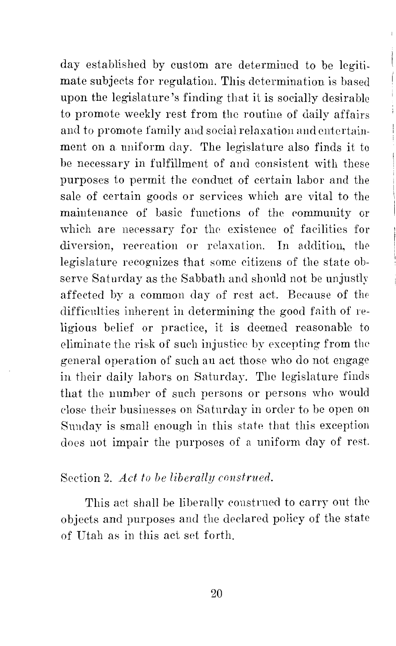day established by custom are determined to be legitimate subjects for regulation. This determination is based upon the legislature's finding that it is socially desirable to promote weekly rest from the routine of daily affairs and to promote family and social relaxation and entertainment on a uniform day. The legislature also finds it to be necessary in fulfillment of and consistent with these purposes to permit the conduct of certain labor and the sale of certain goods or services which are vital to the maintenance of basic functions of the community or which are necessary for the existence of facilities for diversion, recreation or relaxation. In addition, the legislature recognizes that some citizens of the state observe Saturday as the Sabbath and should not be unjustly affected by a common day of rest act. Because of the difficulties inherent in determining the good faith of religious belief or practice, it is deemed reasonable to eliminate the risk of such injustice by excepting from the general operation of such an act those who do not engage in their daily labors on Saturday. The legislature finds that the number of such persons or persons who would close their businesses on Saturday in order to he open on Sunday is small enough in this state that this exception does not impair the purposes of a uniform day of rest.

#### Section 2. *Act to be liberally construed.*

This act shall be liberally construed to carry out the objects and purposes and the derlarcd policy of the state of Utah as in this act set forth.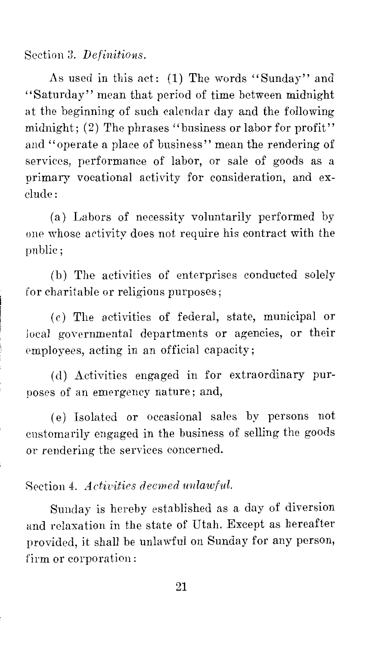# Section 3. *Definitions.*

As used in this act: (1) The words "Sunday" and ''Saturday'' mean that period of time between midnight at the beginning of such calendar day and the following midnight; (2) The phrases "business or labor for profit" and ''operate a place of business'' mean the rendering of services, performance of labor, or sale of goods as a primary vocational activity for consideration, and exclude:

(a) Labors of necessity voluntarily performed by one whose activity does not require his contract with the public;

(b) The activities of enterprises conducted solely for charitable or religious purposes;

( c) The activities of federal, state, municipal or local governmental departments or agencies, or their employees, acting in an official capacity;

(d) Activities engaged in for extraordinary purposes of an emergency nature; and,

( e) Isolated or occasional sales by persons not customarily engaged in the business of selling the goods or rendering the services concerned.

# Section 4. *Activities decrned unlawful.*

Sunday is hereby established as a day of diversion and relaxation in the state of Utah. Except as hereafter provided, it shall be unlawful on Sunday for any person, firm or corporation: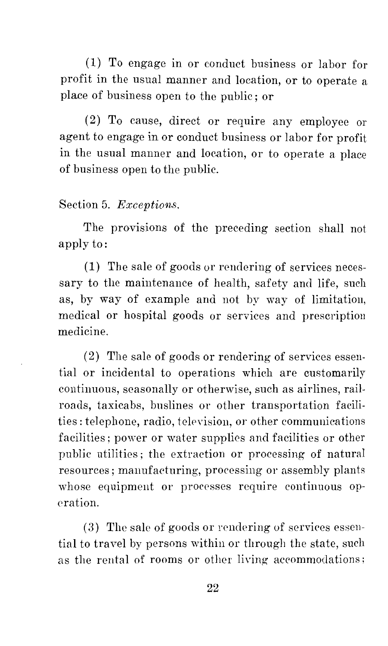(1) To engage in or conduct business or labor for profit in the usual manner and location, or to operate a place of business open to the public; or

(2) To cause, direct or require any employee or agent to engage in or conduct business or labor for profit in the usual manner and location, or to operate a place of business open to the public.

## Section 5. *Exceptions.*

The provisions of the preceding section shall not apply to:

( 1) The sale of goods or rendering of services necessary to the maintenance of health, safety and life, such as, by way of example and not by way of limitation, medical or hospital goods or services and prescription medicine.

( 2) The sale of goods or rendering of services essential or incidental to operations which are customarily continuous, seasonally or otherwise, such as airlines, railroads, taxicabs, bnslines or other transportation facilities: telephone, radio, television, or other communications facilities; power or water supplies and facilities or other public utilities; the extraction or processing of natural resources; manufacturing, processing or assembly plants whose equipment or processes require continuous operation.

 $(3)$  The sale of goods or rendering of services essential to travel by persons within or through the state, such as the rental of rooms or other living accommodations;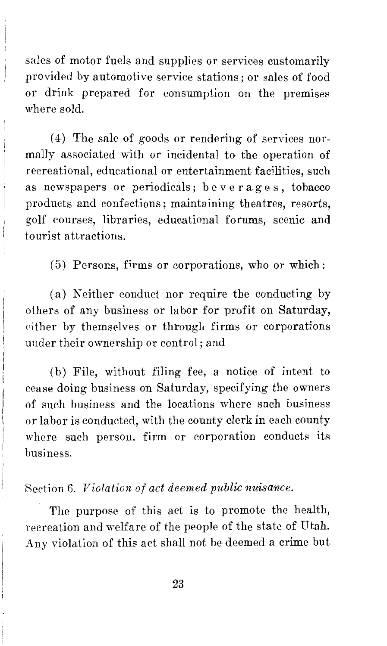sales of motor fuels and supplies or services customarily provided by automotive service stations; or sales of food or drink prepared for consumption on the premises where sold.

( 4) The sale of goods or rendering of services normally associated with or incidental to the operation of recreational, educational or entertainment facilities, such as newspapers or periodicals; beverages, tobacco products and confections; maintaining theatres, resorts, golf courses, libraries, educational forums, scenic and tourist attractions.

( 5) Persons, firms or corporations, who or which:

(a) Neither conduct nor require the conducting by others of any business or labor for profit on Saturday, either by themselves or through firms or corporations under their ownership or control; and

(b) File, without filing fee, a notice of intent to cease doing business on Saturday, specifying the owners of such business and the locations where such business or labor is conducted, with the county clerk in each county where such person, firm or corporation conducts its business.

#### Section 6. *Violation of act deemed public nuisance.*

The purpose of this act is to promote the health, recreation and welfare of the people of the state of Utah. Any violation of this act shall not be deemed a crime but